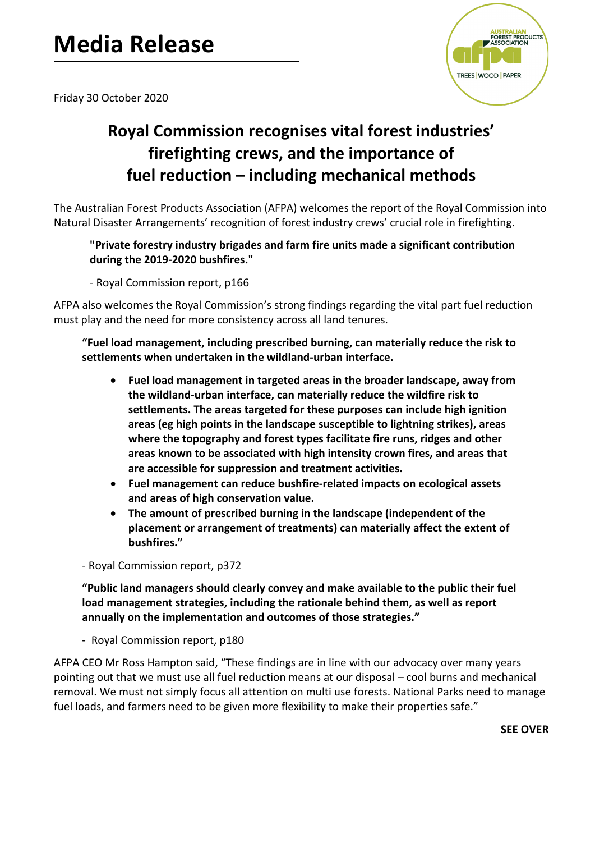## **Media Release**



Friday 30 October 2020

## **Royal Commission recognises vital forest industries' firefighting crews, and the importance of fuel reduction – including mechanical methods**

The Australian Forest Products Association (AFPA) welcomes the report of the Royal Commission into Natural Disaster Arrangements' recognition of forest industry crews' crucial role in firefighting.

## **"Private forestry industry brigades and farm fire units made a significant contribution during the 2019-2020 bushfires."**

- Royal Commission report, p166

AFPA also welcomes the Royal Commission's strong findings regarding the vital part fuel reduction must play and the need for more consistency across all land tenures.

**"Fuel load management, including prescribed burning, can materially reduce the risk to settlements when undertaken in the wildland-urban interface.**

- **Fuel load management in targeted areas in the broader landscape, away from the wildland-urban interface, can materially reduce the wildfire risk to settlements. The areas targeted for these purposes can include high ignition areas (eg high points in the landscape susceptible to lightning strikes), areas where the topography and forest types facilitate fire runs, ridges and other areas known to be associated with high intensity crown fires, and areas that are accessible for suppression and treatment activities.**
- **Fuel management can reduce bushfire-related impacts on ecological assets and areas of high conservation value.**
- **The amount of prescribed burning in the landscape (independent of the placement or arrangement of treatments) can materially affect the extent of bushfires."**

- Royal Commission report, p372

**"Public land managers should clearly convey and make available to the public their fuel load management strategies, including the rationale behind them, as well as report annually on the implementation and outcomes of those strategies."**

- Royal Commission report, p180

AFPA CEO Mr Ross Hampton said, "These findings are in line with our advocacy over many years pointing out that we must use all fuel reduction means at our disposal – cool burns and mechanical removal. We must not simply focus all attention on multi use forests. National Parks need to manage fuel loads, and farmers need to be given more flexibility to make their properties safe."

**SEE OVER**